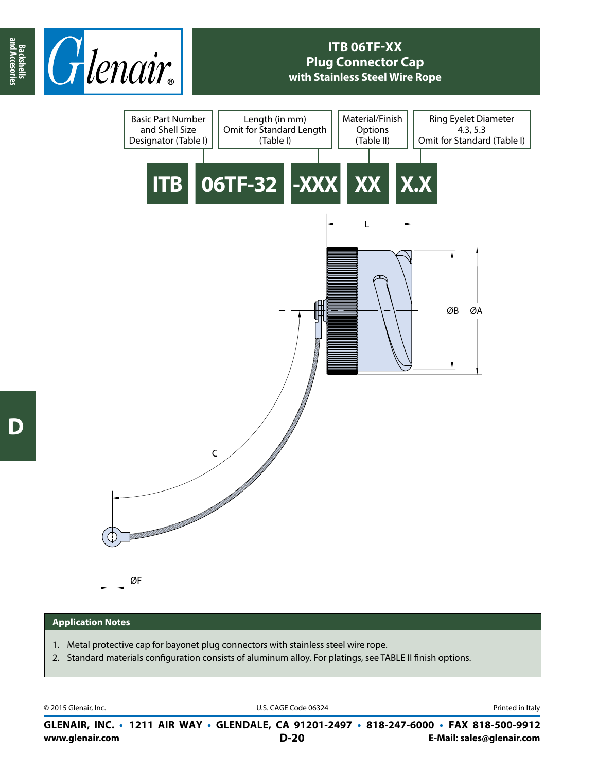

## **ITB 06TF-XX Plug Connector Cap with Stainless Steel Wire Rope**



## **Application Notes**

- 1. Metal protective cap for bayonet plug connectors with stainless steel wire rope.
- 2. Standard materials configuration consists of aluminum alloy. For platings, see TABLE II finish options.

© 2015 Glenair, Inc. **Discription Construction Construction Construction Construction Construction Construction Construction Construction Construction Construction Construction Construction Construction Construction Constr** 

**www.glenair.com E-Mail: sales@glenair.com GLENAIR, INC. • 1211 AIR WAY • GLENDALE, CA 91201-2497 • 818-247-6000 • FAX 818-500-9912 D-20**

**and Accesories**